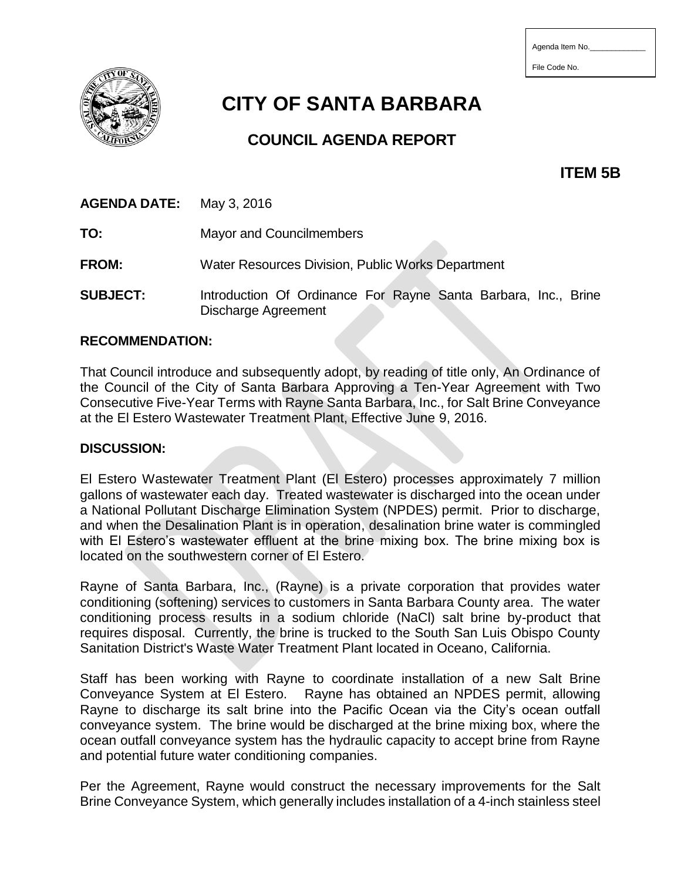| Agenda Item No. |  |  |
|-----------------|--|--|
|                 |  |  |

File Code No.



# **CITY OF SANTA BARBARA**

# **COUNCIL AGENDA REPORT**

**ITEM 5B**

## **AGENDA DATE:** May 3, 2016

**TO:** Mayor and Councilmembers

**FROM:** Water Resources Division, Public Works Department

**SUBJECT:** Introduction Of Ordinance For Rayne Santa Barbara, Inc., Brine Discharge Agreement

#### **RECOMMENDATION:**

That Council introduce and subsequently adopt, by reading of title only, An Ordinance of the Council of the City of Santa Barbara Approving a Ten-Year Agreement with Two Consecutive Five-Year Terms with Rayne Santa Barbara, Inc., for Salt Brine Conveyance at the El Estero Wastewater Treatment Plant, Effective June 9, 2016.

#### **DISCUSSION:**

El Estero Wastewater Treatment Plant (El Estero) processes approximately 7 million gallons of wastewater each day. Treated wastewater is discharged into the ocean under a National Pollutant Discharge Elimination System (NPDES) permit. Prior to discharge, and when the Desalination Plant is in operation, desalination brine water is commingled with El Estero's wastewater effluent at the brine mixing box. The brine mixing box is located on the southwestern corner of El Estero.

Rayne of Santa Barbara, Inc., (Rayne) is a private corporation that provides water conditioning (softening) services to customers in Santa Barbara County area. The water conditioning process results in a sodium chloride (NaCl) salt brine by-product that requires disposal. Currently, the brine is trucked to the South San Luis Obispo County Sanitation District's Waste Water Treatment Plant located in Oceano, California.

Staff has been working with Rayne to coordinate installation of a new Salt Brine Conveyance System at El Estero. Rayne has obtained an NPDES permit, allowing Rayne to discharge its salt brine into the Pacific Ocean via the City's ocean outfall conveyance system. The brine would be discharged at the brine mixing box, where the ocean outfall conveyance system has the hydraulic capacity to accept brine from Rayne and potential future water conditioning companies.

Per the Agreement, Rayne would construct the necessary improvements for the Salt Brine Conveyance System, which generally includes installation of a 4-inch stainless steel